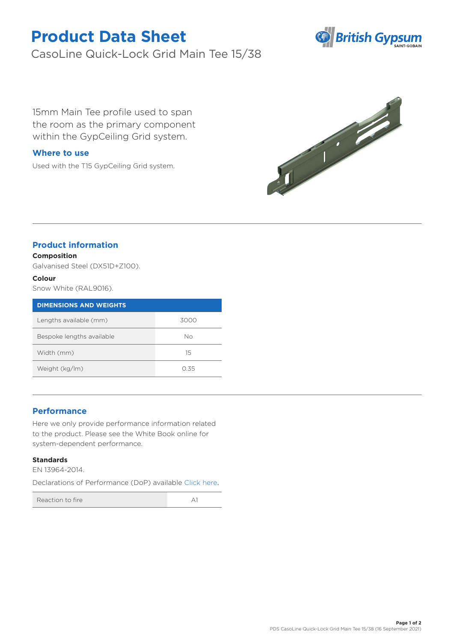# **Product Data Sheet**

CasoLine Quick-Lock Grid Main Tee 15/38



15mm Main Tee profile used to span the room as the primary component within the GypCeiling Grid system.

## **Where to use**

Used with the T15 GypCeiling Grid system.



## **Product information**

### **Composition**

Galvanised Steel (DX51D+Z100).

#### **Colour**

Snow White (RAL9016).

| <b>DIMENSIONS AND WEIGHTS</b> |      |
|-------------------------------|------|
| Lengths available (mm)        | 3000 |
| Bespoke lengths available     | Nο   |
| Width (mm)                    | 15   |
| Weight (kg/lm)                | O 35 |

## **Performance**

Here we only provide performance information related to the product. Please see the White Book online for system-dependent performance.

#### **Standards**

EN 13964-2014.

Declarations of Performance (DoP) available [Click here](https://www.british-gypsum.com/DoP).

Reaction to fire A1